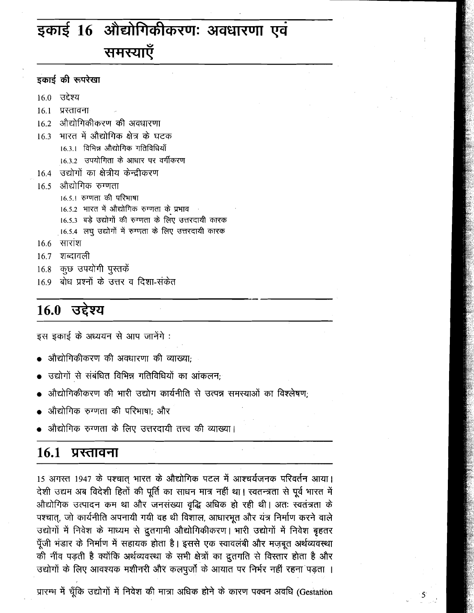# इकाई 16 औद्योगिकीकरणः अवधारणा एवं समस्याएँ

|  | इकाई की रूपरेखा |  |
|--|-----------------|--|
|  |                 |  |

- 16.0 उद्देश्य
- प्रस्तावना  $16<sub>1</sub>$
- 16.2 औद्योगिकीकरण की अवधारणा
- 16.3 भारत में औद्योगिक क्षेत्र के घटक 16.3.1 विभिन्न औद्योगिक गतिविधियाँ 16.3.2 उपयोगिता के आधार पर वर्गीकरण
- 16.4 उद्योगों का क्षेत्रीय केन्द्रीकरण
- 16.5 औद्योगिक रुग्णता
	- 16.5.1 रुग्णता की परिभाषा
	- 16.5.2 भारत में औद्योगिक रुग्णता के प्रभाव
	- 16.5.3 बड़े उद्योगों की रुग्णता के लिए उत्तरदायी कारक
	- 16.5.4 लघु उद्योगों में रुग्णता के लिए उत्तरदायी कारक
- $16.6$  सारांश
- शब्दावली  $16.7$
- कूछ उपयोगी पुस्तकें 16.8
- 16.9) बोध प्रश्नों के उत्तर व दिशा-संकेत

# 16.0 उद्देश्य

इस इकाई के अध्ययन से आप जानेंगे:

- औद्योगिकीकरण की अवधारणा की व्याख्या:
- उद्योगों से संबंधित विभिन्न गतिविधियों का आंकलन;
- औद्योगिकीकरण की भारी उद्योग कार्यनीति से उत्पन्न समस्याओं का विश्लेषण;
- औद्योगिक रुग्णता की परिभाषा; और
- औद्योगिक रुग्णता के लिए उत्तरदायी तत्त्व की व्याख्या।

#### $16.1$ प्रस्तावना

15 अगस्त 1947 के पश्चात् भारत के औद्योगिक पटल में आश्चर्यजनक परिवर्तन आया। देशी उद्यम अब विदेशी हितों की पूर्ति का साधन मात्र नहीं था। स्वतन्त्रता से पूर्व भारत में औद्योगिक उत्पादन कम था और जनसंख्या वृद्धि अधिक हो रही थी। अतः स्वतंत्रता के पश्चात्, जो कार्यनीति अपनायी गयी वह थी विशाल, आधारभूत और यंत्र निर्माण करने वाले उद्योगों में निवेश के माध्यम से द्रुतगामी औद्योगिकीकरण। भारी उद्योगों में निवेश बृहतर पूँजी भंडार के निर्माण में सहायक होता है। इससे एक स्वावलंबी और मज़बूत अर्थव्यवस्था की नींव पड़ती है क्योंकि अर्थव्यवस्था के सभी क्षेत्रों का द्रुतगति से विस्तार होता है और उद्योगों के लिए आवश्यक मशीनरी और कलपुर्जो के आयात पर निर्भर नहीं रहना पड़ता ।

प्रारम्भ में चूँकि उद्योगों में निवेश की मात्रा अधिक होने के कारण पक्वन अवधि (Gestation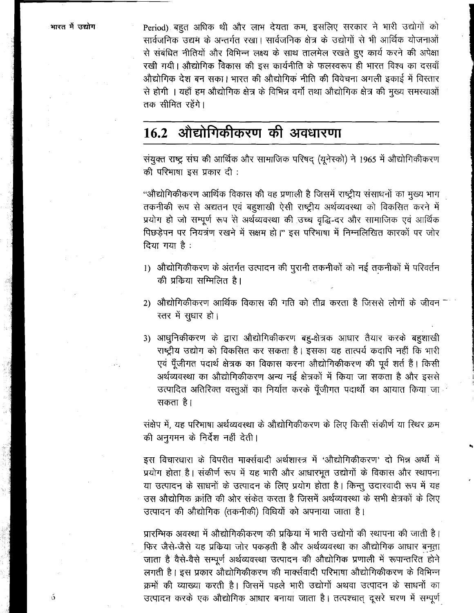Period) बहुत अधिक थी और लाभ देयता कम, इसलिए सरकार ने भारी उद्योगों को सार्वजनिक उद्यम के अन्तर्गत रखा। सार्वजनिक क्षेत्र के उद्योगों से भी आर्थिक योजनाओं से संबंधित नीतियों और विभिन्न लक्ष्य के साथ तालमेल रखते हुए कार्य करने की अपेक्षा रखी गयी। औद्योगिक विकास की इस कार्यनीति के फलस्वरूप ही भारत विश्व का दसवाँ औद्योगिक देश बन सका। भारत की औद्योगिक नीति की विवेचना अगली इकाई में विस्तार से होगी । यहाँ हम औद्योगिक क्षेत्र के विभिन्न वर्गो तथा औद्योगिक क्षेत्र की मुख्य समस्याओं तक सीमित रहेंगे।

#### ओद्योगिकीकरण की अवधारणा  $16.2$

संयुक्त राष्ट्र संघ की आर्थिक और सामाजिक परिषद (यूनेस्को) ने 1965 में औद्योगिकीकरण की परिभाषा इस प्रकार दी:

''औद्योगिकीकरण आर्थिक विकास की वह प्रणाली है जिसमें राष्ट्रीय संसाधनों का मुख्य भाग तकनीकी रूप से अद्यतन एवं बहुशाखी ऐसी राष्ट्रीय अर्थव्यवस्था को विकसित करने में प्रयोग हो जो सम्पूर्ण रूप से अर्थव्यवस्था की उच्च वृद्धि-दर और सामाजिक एवं आर्थिक पिछड़ेपन पर नियत्रंण रखने में सक्षम हो।" इस परिभाषा में निम्नलिखित कारकों पर जोर दिया गया है:

- 1) औद्योगिकीकरण के अंतर्गत उत्पादन की पुरानी तकनीकों को नई तकनीकों में परिवर्तन की प्रकिया सम्मिलित है।
- 2) औद्योगिकीकरण आर्थिक विकास की गति को तीव्र करता है जिससे लोगों के जीवन न स्तर में सुधार हो।
- 3) आधुनिकीकरण के द्वारा औद्योगिकीकरण बहु-क्षेत्रक आधार तैयार करके बहुशाखी राष्ट्रीय उद्योग को विकसित कर सकता है। इसका यह तात्पर्य कदापि नहीं कि भारी एवं पूँजीगत पदार्थ क्षेत्रक का विकास करना औद्योगिकीकरण की पूर्व शर्त हैं। किसी अर्थव्यवस्था का औद्योगिकीकरण अन्य नई क्षेत्रकों में किया जा सकता है और इससे उत्पादित अतिरिक्त वस्तुओं का निर्यात करके पूँजीगत पदार्थो का आयात किया जा <sup>:</sup> सकता है।

संक्षेप में, यह परिभाषा अर्थव्यवस्था के औद्योगिकीकरण के लिए किसी संकीर्ण या स्थिर क्रम की अनुगमन के निर्देश नहीं देती।

इस विचारधारा के विपरीत मार्क्सवादी अर्थशास्त्र में 'औद्योगिकीकरण' दो भिन्न अर्थो में प्रयोग होता है। संकीर्ण रूप में यह भारी और आधारभूत उद्योगों के विकास और स्थापना या उत्पादन के साधनों के उत्पादन के लिए प्रयोग होता है। किन्तु उदारवादी रूप में यह उस औद्योगिक क्रांति की ओर संकेत करता है जिसमें अर्थव्यवस्था के सभी क्षेत्रकों के लिए उत्पादन की औद्योगिक (तकनीकी) विधियों को अपनाया जाता है।

प्रारम्भिक अवस्था में औद्योगिकीकरण की प्रक्रिया में भारी उद्योगों की स्थापना की जाती है। फिर जैसे-जैसे यह प्रकिया जोर पकड़ती है और अर्थव्यवस्था का औद्योगिक आधार बनता जाता है वैसे-वैसे सम्पूर्ण अर्थव्यवस्था उत्पादन की औद्योगिक प्रणाली में रूपान्तरित होने लगती है। इस प्रकार औद्योगिकीकरण की मार्क्सवादी परिभाषा औद्योगिकीकरण के विभिन्न क्रमों की व्याख्या करती है। जिसमें पहले भारी उद्योगों अथवा उत्पादन के साधनों का उत्पादन करके एक औद्योगिक आधार बनाया जाता है। तत्पश्चात् दूसरे चरण में सम्पूर्ण

 $\delta$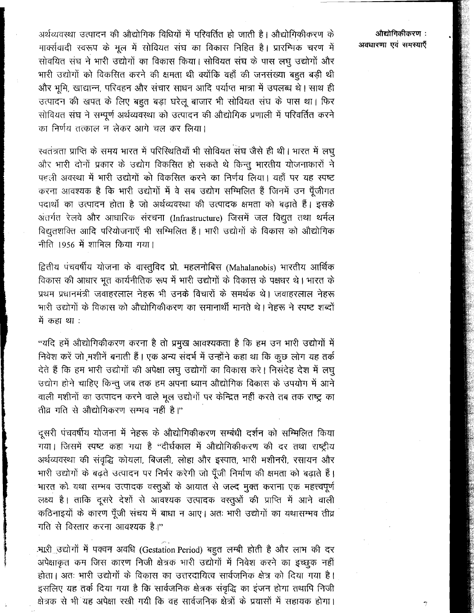अर्थव्यवस्था उत्पादन की औद्योगिक विधियों में परिवर्तित हो जाती है। औद्योगिकीकरण के मार्क्सवादी स्वरूप के मूल में सोवियत संघ का विकास निहित है। प्रारम्भिक चरण में सोवयित संघ ने भारी उद्योगों का विकास किया। सोवियत संघ के पास लघु उद्योगों और भारी उद्योगों को विकसित करने की क्षमता थी क्योंकि वहाँ की जनसंख्या बहुत बड़ी थी और भूमि, खाद्यान्न, परिवहन और संचार साधन आदि पर्याप्त मात्रा में उपलब्ध थे। साथ ही उत्पादन की खपत के लिए बहुत बड़ा घरेलू बाजार भी सोवियत संघ के पास था। फिर सोवियत संघ ने सम्पूर्ण अर्थव्यवस्था को उत्पादन की ओद्योगिक प्रणाली में परिवर्तित करने का निर्णय तत्काल न लेकर आगे चल कर लिया।

स्वतंत्रता प्राप्ति के समय भारत में परिस्थितियाँ भी सोवियत संघ जैसे ही थी। भारत में लघू और भारी दोनों प्रकार के उद्योग विकसित हो सकते थे किन्तु भारतीय योजनाकारों ने पहली अवस्था में भारी उद्योगों को विकसित करने का निर्णय लिया। यहाँ पर यह स्पष्ट करना आवश्यक है कि भारी उद्योगों में वे सब उद्योग सम्मिलित हैं जिनमें उन पुँजीगत पदार्थों का उत्पादन होता है जो अर्थव्यवस्था की उत्पादक क्षमता को बढाते हैं। इसके अंतर्गत रेलवे और आधारिक संरचना (Infrastructure) जिसमें जल विद्युत तथा थर्मल विद्युतशक्ति आदि परियोजनाएँ भी सम्मिलित हैं। भारी उद्योगों के विकास को औद्योगिक नीति 1956 में शामिल किया गया।

द्वितीय पंचवर्षीय योजना के वास्तुविद प्रो. महलनोबिस (Mahalanobis) भारतीय आर्थिक विकास की आधार भूत कार्यनीतिक रूप में भारी उद्योगों के विकास के पक्षधर थे। भारत के प्रथम प्रधानमंत्री जवाहरलाल नेहरू भी उनके विचारों के समर्थक थे। जवाहरलाल नेहरू भारी उद्योगों के विकास को औद्योगिकीकरण का समानार्थी मानते थे। नेहरू ने स्पष्ट शब्दों में कहा था :

"यदि हमें औद्योगिकीकरण करना है तो प्रमुख आवश्यकता है कि हम उन भारी उद्योगों में निवेश करें जो मशीनें बनाती हैं। एक अन्य संदर्भ में उन्होंने कहा था कि कुछ लोग यह तर्क देते हैं कि हम भारी उद्योगों की अपेक्षा लघु उद्योगों का विकास करे। निसंदेह देश में लघु उद्योग होने चाहिए किन्तू जब तक हम अपना ध्यान औद्योगिक विकास के उपयोग में आने वाली मशीनों का उत्पादन करने वाले मूल उद्योगों पर केन्द्रित नहीं करते तब तक राष्ट्र का तीव्र गति से औद्योगिकरण सम्भव नहीं है।"

दूसरी पंचवर्षीय योजना में नेहरू के औद्योगिकीकरण सम्बंधी दर्शन को सम्मिलित किया गया। जिसमें स्पष्ट कहा गया है "दीर्घकाल में औद्योगिकीकरण की दर तथा राष्ट्रीय अर्थव्यवस्था की संवृद्धि कोयला, बिजली, लोहा और इस्पात, भारी मशीनरी, रसायन और भारी उद्योगों के बढ़ते उत्पादन पर निर्भर करेगी जो पूँजी निर्माण की क्षमता को बढ़ाते हैं। भारत को यथा सम्भव उत्पादक वस्तुओं के आयात से जल्द मुक्त कराना एक महत्त्वपूर्ण लक्ष्य है। ताकि दूसरे देशों से आवश्यक उत्पादक वस्तुओं की प्राप्ति में आने वाली कठिनाइयों के कारण पूँजी संचय में बाधा न आए। अतः भारी उद्योगों का यथासम्भव तीव्र गति से विस्तार करना आवश्यक है।"

.भारी उद्योगों में पक्वन अवधि (Gestation Period) बहुत लम्बी होती है और लाभ की दर अपेक्षाकृत कम जिस कारण निजी क्षेत्रक भारी उद्योगों में निवेश करने का इच्छूक नहीं होता। अतः भारी उद्योगों के विकास का उत्तरदायित्व सार्वजनिक क्षेत्र को दिया गया है। इसलिए यह तर्क दिया गया है कि सार्वजनिक क्षेत्रक संवृद्धि का इंजन होगा तथापि निजी क्षेत्रक से भी यह अपेक्षा रखी गयी कि वह सार्वजनिक क्षेत्रों के प्रयासों में सहायक होगा।

### औद्योगिकीकरण : अवधारणा एवं समस्याएँ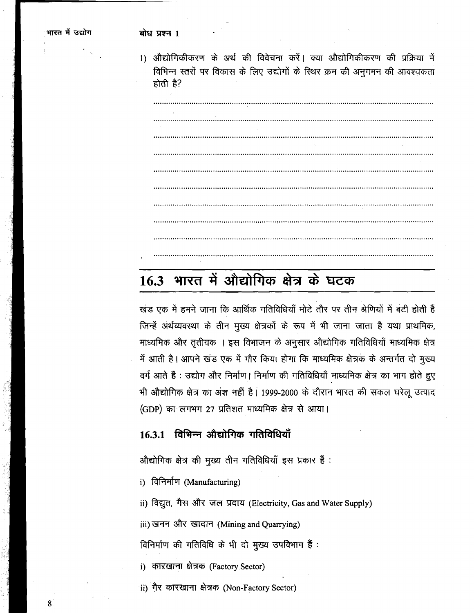1) औद्योगिकीकरण के अर्थ की विवेचना करें। क्या औद्योगिकीकरण की प्रक्रिया में विभिन्न स्तरों पर विकास के लिए उद्योगों के स्थिर क्रम की अनुगमन की आवश्यकता होती है?

# 16.3 भारत में औद्योगिक क्षेत्र के घटक

खंड एक में हमने जाना कि आर्थिक गतिविधियाँ मोटे तौर पर तीन श्रेणियों में बंटी होती हैं जिन्हें अर्थव्यवस्था के तीन मुख्य क्षेत्रकों के रूप में भी जाना जाता है यथा प्राथमिक, माध्यमिक और तृतीयक । इस विभाजन के अनुसार औद्योगिक गतिविधियाँ माध्यमिक क्षेत्र में आती है। आपने खंड एक में गौर किया होगा कि माध्यमिक क्षेत्रक के अन्तर्गत दो मुख्य वर्ग आते हैं : उद्योग और निर्माण। निर्माण की गतिविधियाँ माध्यमिक क्षेत्र का भाग होते हुए भी औद्योगिक क्षेत्र का अंश नहीं है। 1999-2000 के दौरान भारत की सकल घरेलू उत्पाद (GDP) का लगभग 27 प्रतिशत माध्यमिक क्षेत्र से आया।

## 16.3.1 विभिन्न औद्योगिक गतिविधियाँ

औद्योगिक क्षेत्र की मुख्य तीन गतिविधियाँ इस प्रकार हैं:

i) विनिर्माण (Manufacturing)

ii) विद्युत, गैस और जल प्रदाय (Electricity, Gas and Water Supply)

iii) खनन और खादान (Mining and Quarrying)

विनिर्माण की गतिविधि के भी दो मुख्य उपविभाग हैं :<br>i) कारखाना क्षेत्रक (Factory Sector)

ii) गैर कारखाना क्षेत्रक (Non-Factory Sector)

8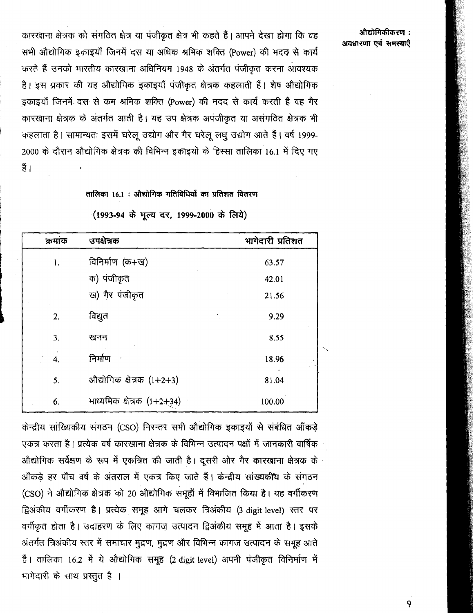औद्योगिकीकरण : अवधारणा एवं समस्याएँ

कारखाना क्षेत्रक को संगठित क्षेत्र या पंजीकृत क्षेत्र भी कहते हैं। आपने देखा होगा कि वह सभी औद्योगिक इकाइयाँ जिनमें दस या अधिक श्रमिक शक्ति (Power) की मदद से कार्य करते हैं उनको भारतीय कारखाना अधिनियम 1948 के अंतर्गत पंजीकृत करना आवश्यक है। इस प्रकार की यह औद्योगिक इकाइयाँ पंजीकृत क्षेत्रक कहलाती हैं। शेष औद्योगिक इकाइयाँ जिनमें दस से कम श्रमिक शक्ति (Power) की मदद से कार्य करती हैं वह गैर कारखाना क्षेत्रक के अंतर्गत आती है। यह उप क्षेत्रक अपंजीकृत या असंगठित क्षेत्रक भी कहलाता है। सामान्यतः इसमें घरेलू उद्योग और गैर घरेलू लघू उद्योग आते हैं। वर्ष 1999-2000 के दौरान औद्योगिक क्षेत्रक की विभिन्न इकाइयों के हिस्सा तालिका 16.1 में दिए गए हैं ।

### तालिका 16.1 : औद्योगिक गतिविधियों का प्रतिशत वितरण

| क्रमांक | उपक्षेत्रक                 | भागेदारी प्रतिशत |
|---------|----------------------------|------------------|
| 1.      | विनिर्माण (क+ख)            | 63.57            |
|         | क) पंजीकृत                 | 42.01            |
|         | ख) गैर पंजीकृत             | 21.56            |
| 2.      | विद्युत                    | 9.29             |
| 3.      | खनन                        | 8.55             |
| 4.      | निर्माण                    | 18.96            |
| 5.      | औद्योगिक क्षेत्रक (1+2+3)  | 81.04            |
| 6.      | माध्यमिक क्षेत्रक (1+2+34) | 100.00           |

(1993-94 के मूल्य दर, 1999-2000 के लिये)

केन्द्रीय सांख्यिकीय संगठन (CSO) निरन्तर सभी औद्योगिक इकाइयों से संबंधित आँकड़े एकत्र करता है। प्रत्येक वर्ष कारखाना क्षेत्रक के विभिन्न उत्पादन पक्षों में जानकारी वार्षिक ओद्योगिक सर्वेक्षण के रूप में एकत्रित की जाती है। दूसरी ओर गैर कारखाना क्षेत्रक के आँकड़े हर पाँच वर्ष के अंतराल में एकत्र किए जाते हैं। केन्द्रीय सांख्यकीय के संगठन (CSO) ने औद्योगिक क्षेत्रक को 20 औद्योगिक समूहों में विभाजित किया है। यह वर्गीकरण द्विअंकीय वर्गीकरण है। प्रत्येक समूह आगे चलकर त्रिअंकीय (3 digit level) स्तर पर वर्गीकृत होता है। उदाहरण के लिए कागज़ उत्पादन द्विअंकीय समूह में आता है। इसके अंतर्गत त्रिअंकीय स्तर में समाचार मुद्रण, मुद्रण और विभिन्न कागज उत्पादन के समूह आते हैं। तालिका 16.2 में ये औद्योगिक समूह (2 digit level) अपनी पंजीकृत विनिर्माण में भागेदारी के साथ प्रस्तुत है।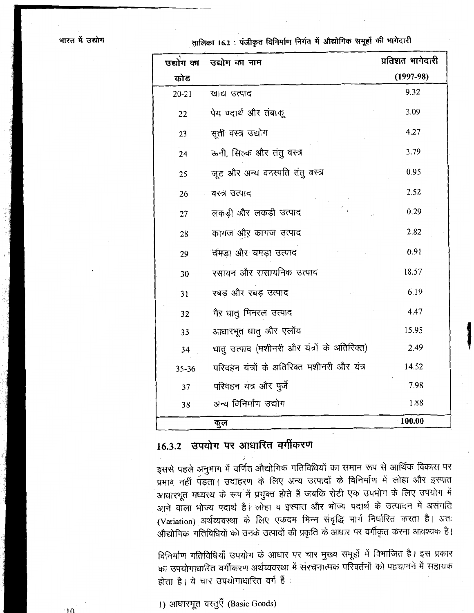तालिका 16.2 : पंजीकृत विनिर्माण निर्गत में औद्योगिक समूहों की भागेदारी

| उद्योग का | उद्योग का नाम                               | प्रतिशत भागेदारी |
|-----------|---------------------------------------------|------------------|
| कोड       |                                             | $(1997-98)$      |
| $20 - 21$ | खाद्य उत्पाद                                | 9.32             |
| 22        | पेय पदार्थ और तंबाकू                        | 3.09             |
| 23        | सूती वस्त्र उद्योग                          | 4.27             |
| 24        | ऊनी, सिल्क और तंतु वस्त्र                   | 3.79             |
| 25        | जूट और अन्य वनस्पति तंतु वस्त्र             | 0.95             |
| 26        | वस्त्र उत्पाद                               | 2.52             |
| 27        | लकड़ी और लकड़ी उत्पाद                       | 0.29             |
| 28        | कागज और कागज उत्पाद                         | 2.82             |
| 29        | चमड़ा और चमड़ा उत्पाद                       | 0.91             |
| 30        | रसायन और रासायनिक उत्पाद                    | 18.57            |
| 31        | रबड और रबड़ उत्पाद                          | 6.19             |
| 32        | गैर धातु मिनरल उत्पाद                       | 4.47             |
| 33        | आधारभूत धातु और एलॉय                        | 15.95            |
| 34        | धातु उत्पाद (मशीनरी और यंत्रों के अतिरिक्त) | 2.49             |
| 35-36     | परिवहन यंत्रों के अतिरिक्त मशीनरी और यंत्र  | 14.52            |
| 37        | परिवहन यंत्र और पुर्जे                      | 7.98             |
| 38        | अन्य विनिर्माण उद्योग                       | 1.88             |
|           | कूल                                         | 100.00           |

# 16.3.2 उपयोग पर आधारित वर्गीकरण

इससे पहले अनुभाग में वर्णित औद्योगिक गतिविधियों का समान रूप से आर्थिक विकास पर प्रभाव नहीं पड़ता। उदाहरण के लिए अन्य उत्पादों के विनिर्माण में लोहा और इस्पात आधारभूत मध्यस्थ के रूप में प्रयुक्त होते हैं जबकि रोटी एक उपभोग के लिए उपयोग में आने वाला भोज्य पदार्थ है। लोहा व इस्पात और भोज्य पदार्थ के उत्पादन में असंगति (Variation) अर्थव्यवस्था के लिए एकदम भिन्न संवृद्धि मार्ग निर्धारित करता है। अतः औद्योगिक गतिविधियों को उनके उत्पादों की प्रकृति के आधार पर वर्गीकृत करना आवश्यक है।

विनिर्माण गतिविधियाँ उपयोग के आधार पर चार मुख्य समूहों में विभाजित है। इस प्रकार का उपयोगाधारित वर्गीकरण अर्थव्यवस्था में संरचनात्मक परिवर्तनों को पहचानने में सहायक होता है। ये चार उपयोगाधारित वर्ग हैं:

1) आधारभूत वस्तुएँ (Basic Goods)

 $10^{-1}$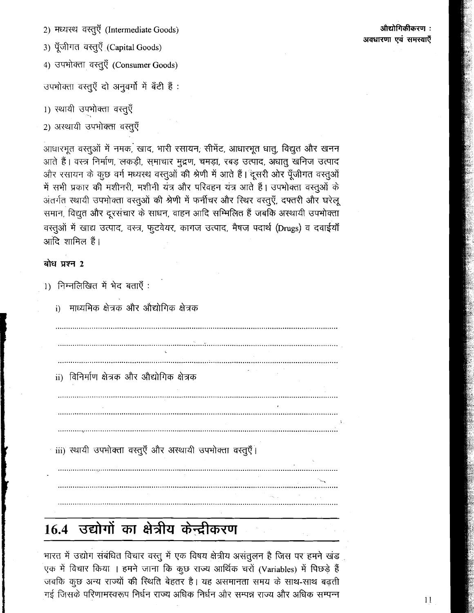2) मध्यस्थ वस्तुएँ (Intermediate Goods)

3) पूँजीगत वस्तूएँ (Capital Goods)

4) उपभोक्ता वस्तुएँ (Consumer Goods)

उपभोक्ता वस्तुएँ दो अनुवर्गों में बँटी हैं :

1) स्थायी उपभोक्ता वस्तुएँ

2) अस्थायी उपभोक्ता वस्तूएँ

आधारभुत वस्तुओं में नमक, खाद, भारी रसायन, सीमेंट, आधारभूत धातू, विद्युत और खनन आते हैं। वस्त्र निर्माण, लकड़ी, समाचार मुद्रण, चमड़ा, रबड़ उत्पाद, अधातु खनिज उत्पाद और रसायन के कुछ वर्ग मध्यरथ वस्तुओं की श्रेणी में आते हैं। दूसरी ओर पूँजीगत वस्तुओं में सभी प्रकार की मशीनरी, मशीनी यंत्र और परिवहन यंत्र आते हैं। उपभोक्ता वस्तुओं के अंतर्गत स्थायी उपभोक्ता वस्तूओं की श्रेणी में फर्नीचर और स्थिर वस्तूएँ, दफ्तरी और घरेलू समान, विद्युत और दूरसंचार के साधन, वाहन आदि सम्मिलित हैं जबकि अस्थायी उपभोक्ता वस्तुओं में खाद्य उत्पाद, वस्त्र, फुटवेयर, कागज उत्पाद, मैषज पदार्थ (Drugs) व दवाईयाँ आदि शामिल हैं।

### बोध प्रश्न 2

1) निम्नलिखित में भेद बताएँ :

माध्यमिक क्षेत्रक और औद्योगिक क्षेत्रक

a de la componencia de la componencia de la componencia de la componencia de la componencia de la componencia<br>La componencia del componencia del componencia del componencia del componencia del componencia del componencia ii) विनिर्माण क्षेत्रक और औद्योगिक क्षेत्रक iii) स्थायी उपभोक्ता वस्तूएँ और अस्थायी उपभोक्ता वस्तुएँ।

### औद्योगिकीकरण : अवधारणा एवं समस्याएँ

भारत में उद्योग संबंधित विचार वस्तु में एक विषय क्षेत्रीय असंतुलन है जिस पर हमने खंड .<br>एक में विचार किया । हमने जाना कि कूछ राज्य आर्थिक चरों (Variables) में पिछड़े हैं

16.4 उद्योगों का क्षेत्रीय केन्द्रीकरण

जबकि कूछ अन्य राज्यों की स्थिति बेहतर है। यह असमानता समय के साथ-साथ बढ़ती गई जिसके परिणामस्वरूप निर्धन राज्य अधिक निर्धन और सम्पन्न राज्य और अधिक सम्पन्न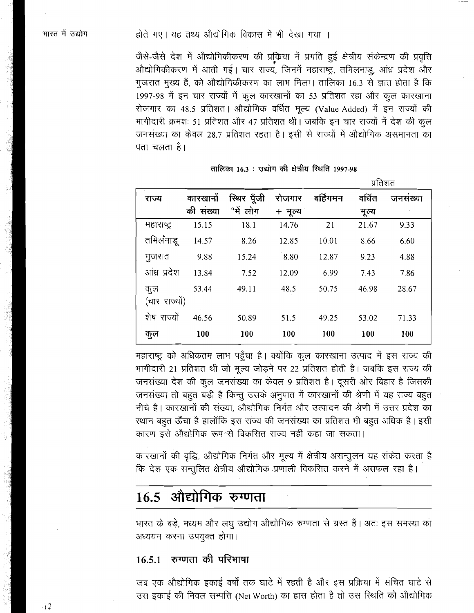जैसे-जैसे देश में औद्योगिकीकरण की प्रक्रिया में प्रगति हुई क्षेत्रीय संकेन्द्रण की प्रवृत्ति औद्योगिकीकरण में आती गई। चार राज्य, जिनमें महाराष्ट्र, तमिलनाडु, आंध्र प्रदेश और गुजरात मुख्य हैं, को औद्योगिकीकरण का लाभ मिला। तालिका 16.3 से ज्ञात होता है कि 1997-98 में इन चार राज्यों में कूल कारखानों का 53 प्रतिशत रहा और कूल कारखाना रोजगार का 48.5 प्रतिशत। औद्योगिक वर्धित मूल्य (Value Added) में इन राज्यों की भागीदारी क्रमशः 51 प्रतिशत और 47 प्रतिशत थी। जबकि इन चार राज्यों में देश की कूल जनसंख्या का केवल 28.7 प्रतिशत रहता है। इसी से राज्यों में औद्योगिक असमानता का पता चलता है।

|               |           |            |         |          | પ્રાવશન |         |
|---------------|-----------|------------|---------|----------|---------|---------|
| राज्य         | कारखानों  | रिथर पूँजी | रोजगार  | बर्हिगमन | वर्धित  | जनसख्या |
|               | की संख्या | ैमें लोग   | + मूल्य |          | मूल्य   |         |
| महाराष्ट्र    | 15.15     | 18.1       | 14.76   | 21       | 21.67   | 9.33    |
| तमिलंनाडू     | 14.57     | 8.26       | 12.85   | 10.01    | 8.66    | 6.60    |
| गुजरात        | 9.88      | 15.24      | 8.80    | 12.87    | 9.23    | 4.88    |
| आंध्र प्रदेश  | 13.84     | 7.52       | 12.09   | 6.99     | 7.43    | 7.86    |
| कुल           | 53.44     | 49.11      | 48.5    | 50.75    | 46.98   | 28.67   |
| (चार राज्यों) |           |            |         |          |         |         |
| शेष राज्यों   | 46.56     | 50.89      | 51.5    | 49.25    | 53.02   | 71.33   |
| कुल           | 100       | 100        | 100     | 100      | 100     | 100     |

तालिका 16.3 : उद्योग की क्षेत्रीय रिथति 1997-98

 $\overline{R}$ 

महाराष्ट्र को अधिकतम लाभ पहुँचा है। क्योंकि कुल कारखाना उत्पाद में इस राज्य की भागीदारी 21 प्रतिशत थी जो मूल्य जोड़ने पर 22 प्रतिशत होती है। जबकि इस राज्य की जनसंख्या देश की कुल जनसंख्या का केवल 9 प्रतिशत है। दूसरी ओर बिहार है जिसकी जनसंख्या तो बहुत बड़ी है किन्तु उसके अनुपात में कारखानों की श्रेणी में यह राज्य बहुत नीचे है। कारखानों की संख्या, औद्योगिक निर्गत और उत्पादन की श्रेणी में उत्तर प्रदेश का स्थान बहुत ऊँचा है हालाँकि इस राज्य की जनसंख्या का प्रतिशत भी बहुत अधिक है। इसी कारण इसे औद्योगिक रूप<sup>्</sup>से विकसित राज्य नहीं कहा जा सकता।

कारखानों की वृद्धि, औद्योगिक निर्गत और मूल्य में क्षेत्रीय असन्तुलन यह संकेत करता है कि देश एक सन्तुलित क्षेत्रीय औद्योगिक प्रणाली विकसित करने में असफल रहा है।

# $16.5$  औद्योगिक रुग्णता

भारत के बड़े, मध्यम और लघु उद्योग औद्योगिक रुग्णता से ग्रस्त हैं। अतः इस समस्या का अध्ययन करना उपयुक्त होगा।

## 16.5.1 रुग्णता की परिभाषा

जब एक ओद्योगिक इकाई वर्षों तक घाटे में रहती है और इस प्रक्रिया में संचित घाटे से उस इकाई की निवल सम्पत्ति (Net Worth) का हास होता है तो उस स्थिति को औद्योगिक

 $-12$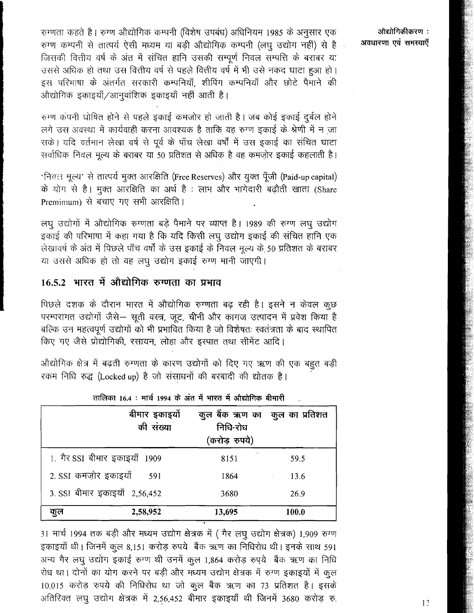रुग्णता कहते है। रुग्ण औद्योगिक कम्पनी (विशेष उपबंध) अधिनियम 1985 के अनुसार एक रुग्ण कम्पनी से तात्पर्य ऐसी मध्यम या बड़ी औद्योगिक कम्पनी (लघु उद्योग नहीं) से है जिसकी वित्तीय वर्ष के अंत में संचित हानि उसकी सम्पूर्ण निवल सम्पत्ति के बराबर या उससे अधिक हो तथा उस वित्तीय वर्ष से पहले वित्तीय वर्ष में भी उसे नकद घाटा हुआ हो। इस परिभाषा के अंतर्गत सरकारी कम्पनियाँ, शीपिंग कम्पनियाँ और छोटे पैमाने की ओद्योगिक इकाइयाँ/आनुवांशिक इकाइयाँ नहीं आती है।

रुग्ण कंपनी घोषित होने से पहले इकाई कमजोर हो जाती है। जब कोई इकाई दुर्बल होने लगे उस अवस्था में कार्यवाही करना आवश्यक है ताकि वह रुग्ण इकाई के श्रेणी में न जा सके। यदि वर्तमान लेखा वर्ष से पूर्व के पाँच लेखा वर्षों में उस इकाई का संचित घाटा सर्वाधिक निवल मूल्य के बराबर या 50 प्रतिशत से अधिक है वह कमजोर इकाई कहलाती है।

'निवृत्त मूल्य' से तात्पर्य मूक्त आरक्षिति (Free Reserves) और युक्त पूँजी (Paid-up capital) के योग से है। मुक्त आरक्षिति का अर्थ है: लाभ और भागेदारी बढ़ौती खाता (Share Premimum) से बचाए गए सभी आरक्षिति।

लघु उद्योगों में औद्योगिक रुग्णता बड़े पैमाने पर व्याप्त है। 1989 की रुग्ण लघु उद्योग इकाई की परिभाषा में कहा गया है कि यदि किसी लघु उद्योग इकाई की संचित हानि एक लेखावर्ष के अंत में पिछले पाँच वर्षों के उस इकाई के निवल मूल्य के 50 प्रतिशत के बराबर या उससे अधिक हो तो वह लघु उद्योग इकाई रुग्ण मानी जाएगी।

## 16.5.2 भारत में औद्योगिक रुग्णता का प्रभाव

पिछले दशक के दौरान भारत में औद्योगिक रुग्णता बढ़ रही है। इसने न केवल कुछ परम्परागत उद्योगों जैसे- सूती वस्त्र, जूट, चीनी और कागज उत्पादन में प्रवेश किया है बल्कि उन महत्वपूर्ण उद्योगों को भी प्रभावित किया है जो विशेषतः स्वतंत्रता के बाद स्थापित किए गए जैसे प्रोद्योगिकी, रसायन, लोहा और इस्पात तथा सीमेंट आदि।

औद्योगिक क्षेत्र में बढ़ती रुग्णता के कारण उद्योगों को दिए गए ऋण की एक बहुत बड़ी रकम निधि रुद्ध (Locked up) है जो संसाधनों की बरबादी की द्योतक है।

|                               | बीमार इकाइयों<br>की संख्या | कुल बैंक ऋण का कुल का प्रतिशत<br>निधि-रोध<br>(करोड़ रुपये) |       |
|-------------------------------|----------------------------|------------------------------------------------------------|-------|
| 1. गैर SSI बीमार इकाइयाँ 1909 |                            | 8151                                                       | 59.5  |
| 2. SSI कमजोर इकाइयाँ          | 591                        | 1864                                                       | 13.6  |
| 3. SSI बीमार इकाइयाँ 2,56,452 |                            | 3680                                                       | 26.9  |
| कुल                           | 2,58,952                   | 13,695                                                     | 100.0 |

| तालिका 16.4 : मार्च 1994 के अंत में भारत में ओद्योगिक बीमारी |  |  |  |  |  |  |
|--------------------------------------------------------------|--|--|--|--|--|--|
|                                                              |  |  |  |  |  |  |

31 मार्च 1994 तक बड़ी और मध्यम उद्योग क्षेत्रक में (गैर लघु उद्योग क्षेत्रक) 1,909 रुग्ण इकाइयाँ थी। जिनमें कुल 8,151 करोड़ रुपये बैंक ऋण का निधिरोध थी। इनके साथ 591 अन्य गैर लघु उद्योग इकाई रुग्ण थी उनमें कुल 1,864 करोड़ रुपये बैंक ऋण का निधि रोध था। दोनों का योग करने पर बड़ी और मध्यम उद्योग क्षेत्रक में रुग्ण इकाइयों में कुल 10,015 करोड़ रुपये की निधिरोध था जो कुल बैंक ऋण का 73 प्रतिशत है। इसके अतिरिक्त लघू उद्योग क्षेत्रक में 2,56,452 बीमार इकाइयाँ थी जिनमें 3680 करोड़ रु.

औद्योगिकीकरण : अवधारणा एवं समस्याएँ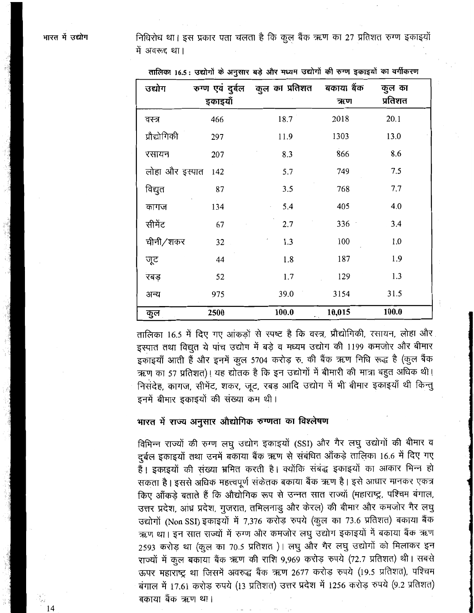भारत में उद्योग

निधिरोध था। इस प्रकार पता चलता है कि कुल बैंक ऋण का 27 प्रतिशत रुग्ण इकाइयों में अवरूद्द था।

| उद्योग         | इकाइयाँ | रुग्ण एवं दुर्बल कुल का प्रतिशत | बकाया बैंक<br>ऋण | कुल का<br>प्रतिशत |
|----------------|---------|---------------------------------|------------------|-------------------|
| वस्त्र         | 466     | 18.7                            | 2018             | 20.1              |
| प्रौद्योगिकी   | 297     | 11.9                            | 1303             | 13.0              |
| रसायन          | 207     | 8.3                             | 866              | 8.6               |
| लोहा और इस्पात | 142     | 5.7                             | 749              | 7.5               |
| विद्युत        | 87      | 3.5                             | 768              | 7.7               |
| कागज           | 134     | 5.4                             | 405              | 4.0               |
| सीमेंट         | 67      | 2.7                             | 336              | 3.4               |
| चीनी/शकर       | 32      | 1.3                             | 100              | 1.0               |
| जूट            | 44      | 1.8                             | 187              | 1.9               |
| रबड़           | 52      | 1.7                             | 129              | 1.3               |
| अन्य           | 975     | 39.0                            | 3154             | 31.5              |
| कुल            | 2500    | 100.0                           | 10,015           | 100.0             |

तालिका 16.5 : उद्योगों के अनुसार बड़े और मध्यम उद्योगों की रुग्ण इकाइयों का वर्गीकरण

तालिका 16.5 में दिए गए आंकड़ों से स्पष्ट है कि वस्त्र, प्रौद्योगिकी, रसायन, लोहा और इस्पात तथा विद्युत ये पांच उद्योग में बड़े व मध्यम उद्योग की 1199 कमजोर और बीमार इकाइयाँ आती हैं और इनमें कुल 5704 करोड़ रु. की बैंक ऋण निधि रूद्ध है (कूल बैंक ऋण का 57 प्रतिशत)। यह द्योतक है कि इन उद्योगों में बीमारी की मात्रा बहुत अधिक थी। निसंदेह, कागज, सीमेंट, शकर, जूट, रबड़ आदि उद्योग में भी बीमार इकाइयाँ थी किन्तु इनमें बीमार इकाइयों की संख्या कम थी।

### भारत में राज्य अनुसार औद्योगिक रुग्णता का विश्लेषण

विभिन्न राज्यों की रुग्ण लघु उद्योग इकाइयों (SSI) और गैर लघु उद्योगों की बीमार व दुर्बल इकाइयों तथा उनमें बकाया बैंक ऋण से संबंधित आँकड़े तालिका 16.6 में दिए गए हैं। इकाइयों की संख्या भ्रमित करती है। क्योंकि संबंद्ध इकाइयों का आकार भिन्न हो सकता है। इससे अधिक महत्त्वपूर्ण संकेतक बकाया बैंक ऋण है। इसे आधार मानकर एकत्र किए आँकड़े बताते हैं कि औद्योगिक रूप से उन्नत सात राज्यों (महाराष्ट्र, पश्चिम बंगाल, उत्तर प्रदेश, आंध्र प्रदेश, गुजरात, तमिलनाडु और केरल) की बीमार और कमजोर गैर लघु उद्योगों (Non SSI) इकाइयों में 7,376 करोड़ रुपये (कुल का 73.6 प्रतिशत) बकाया बैंक ऋण था। इन सात राज्यों में रुग्ण और कमजोर लघु उद्योग इकाइयों में बकाया बैंक ऋण 2593 करोड़ था (कूल का 70.5 प्रतिशत)। लघु और गैर लघु उद्योगों को मिलाकर इन राज्यों में कूल बकाया बैंक ऋण की राशि 9,969 करोड़ रुपये (72.7 प्रतिशत) थी। सबसे ऊपर महाराष्ट्र था जिसमें अवरुद्ध बैंक ऋण 2677 करोड़ रुपये (19.5 प्रतिशत), पश्चिम बंगाल में 17.61 करोड़ रुपये (13 प्रतिशत) उत्तर प्रदेश में 1256 करोड़ रुपये (9.2 प्रतिशत) बकाया बैंक ऋण था।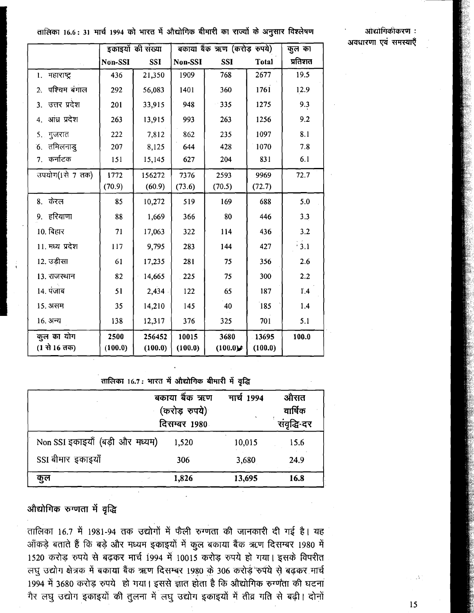ओद्योगिकीकरण: अवधारणा एवं समस्याएँ

## तालिका 16.6 : 31 मार्च 1994 को भारत में औद्योगिक बीमारी का राज्यों के अनुसार विश्लेषण

|                            | इकाइयों की संख्या |                   | बकाया बैंक ऋण (करोड़ रुपये) |                 |                  | कुल का  |
|----------------------------|-------------------|-------------------|-----------------------------|-----------------|------------------|---------|
|                            | Non-SSI           | <b>SSI</b>        | Non-SSI                     | <b>SSI</b>      | Total            | प्रतिशत |
| 1. महाराष्ट्र              | 436               | 21,350            | 1909                        | 768             | 2677             | 19.5    |
| पश्चिम बंगाल<br>2.         | 292               | 56,083            | 1401                        | 360             | 1761             | 12.9    |
| उत्तर प्रदेश<br>3.         | 201               | 33,915            | 948                         | 335             | 1275             | 9.3     |
| आंध्र प्रदेश<br>4.         | 263               | 13,915            | 993                         | 263             | 1256             | 9.2     |
| 5. गुजरात                  | 222               | 7,812             | 862                         | 235             | 1097             | 8.1     |
| 6. तमिलनाडु                | 207               | 8,125             | 644                         | 428             | 1070             | 7.8     |
| कर्नाटक<br>7.              | 151               | 15,145            | 627                         | 204             | 831              | 6.1     |
| उपयोग(1से 7 तक)            | 1772              | 156272            | 7376                        | 2593            | 9969             | 72.7    |
|                            | (70.9)            | (60.9)            | (73.6)                      | (70.5)          | (72.7)           |         |
| 8. केरल                    | 85                | 10,272            | 519                         | 169             | 688              | 5.0     |
| 9. हरियाणा                 | 88                | 1,669             | 366                         | 80              | 446              | 3.3     |
| 10. बिहार                  | 71                | 17,063            | 322                         | 114             | 436              | 3.2     |
| 11. मध्य प्रदेश            | 117               | 9,795             | 283                         | 144             | 427              | $-3.1$  |
| 12. उडीसा                  | 61                | 17,235            | 281                         | 75              | 356              | 2.6     |
| 13. राजस्थान               | 82                | 14,665            | 225                         | 75              | 300              | 2.2     |
| 14. पंजाब                  | 51                | 2,434             | 122                         | 65              | 187              | 1.4     |
| 15. असम                    | 35                | 14,210            | 145                         | 40              | 185              | 1.4     |
| 16. अन्य                   | 138               | 12,317            | 376                         | 325             | 701              | 5.1     |
| कुल का योग<br>(1 से 16 तक) | 2500<br>(100.0)   | 256452<br>(100.0) | 10015<br>(100.0)            | 3680<br>(100.0) | 13695<br>(100.0) | 100.0   |

तालिका 16.7: भारत में औद्योगिक बीमारी में वृद्धि

|                                 | बकाया बैंक ऋण<br>(करोड़ रुपये)<br>दिसम्बर 1980 | मार्च 1994 | औसत<br>वार्षिक<br>संवृद्धि-दर |
|---------------------------------|------------------------------------------------|------------|-------------------------------|
| Non SSI इकाइयाँ (बड़ी और मध्यम) | 1,520                                          | 10,015     | 15.6                          |
| SSI बीमार इकाइयाँ               | 306                                            | 3,680      | 24.9                          |
| कुल<br>$\mathcal{L}^{\bullet}$  | 1,826                                          | 13,695     | 16.8                          |

### औद्योगिक रुग्णता में वृद्धि

तालिका 16.7 में 1981-94 तक उद्योगों में फैली रुग्णता की जानकारी दी गई है। यह आँकड़े बताते हैं कि बड़े और मध्यम इकाइयों में कुल बकाया बैंक ऋण दिसम्बर 1980 में 1520 करोड़ रुपये से बढ़कर मार्च 1994 में 10015 करोड़ रुपये हो गया। इसके विपरीत लघु उद्योग क्षेत्रक में बकाया बैंक ऋण दिसम्बर 1980 के 306 करोड़ रुपये से बढ़कर मार्च 1994 में 3680 करोड़ रुपये हो गया। इससे ज्ञात होता है कि औद्योगिक रुग्णता की घटना गैर लघु उद्योग इकाइयों की तुलना में लघु उद्योग इकाइयों में तीव्र गति से बढ़ी। दोनों

15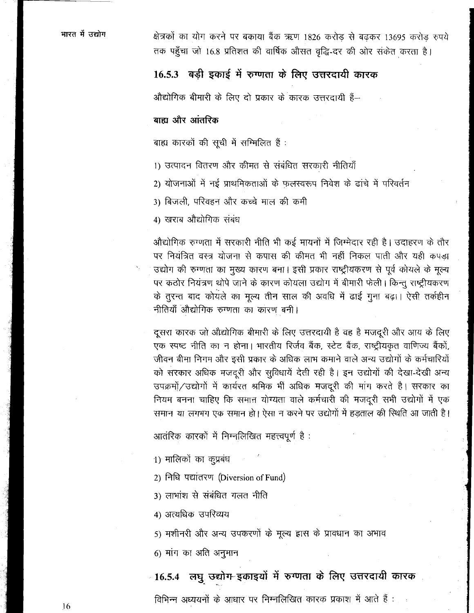क्षेत्रकों का योग करने पर बकाया बैंक ऋण 1826 करोड से बढकर 13695 करोड रुपये तक पहुँचा जो 16.8 प्रतिशत की वार्षिक औसत वृद्धि-दर की ओर संकेत करता है।

## 16.5.3 बड़ी इकाई में रुग्णता के लिए उत्तरदायी कारक

औद्योगिक बीमारी के लिए दो प्रकार के कारक उत्तरदायी हैं--

### बाह्य और आंतरिक

बाह्य कारकों की सूची में सम्मिलित हैं :

- 1) उत्पादन वितरण और कीमत से संबंधित सरकारी नीतियाँ
- 2) योजनाओं में नई प्राथमिकताओं के फलस्वरूप निवेश के ढांचे में परिवर्तन
- 3) बिजली, परिवहन और कच्चे माल की कमी

4) खराब औद्योगिक संबंध

औद्योगिक रुग्णता में सरकारी नीति भी कई मायनों में जिम्मेदार रही है। उदाहरण के तौर पर नियंत्रित वस्त्र योजना से कपास की कीमत भी नहीं निकल पाती और यही कपड़ा उद्योग की रुग्णता का मुख्य कारण बना। इसी प्रकार राष्ट्रीयकरण से पूर्व कोयले के मूल्य पर कठोर नियंत्रण थोपे जाने के कारण कोयला उद्योग में बीमारी फेली। किन्तू राष्ट्रीयकरण के तुरन्त बाद कोयले का मूल्य तीन साल की अवधि में ढाई गुना बढ़ा। ऐसी तर्कहीन नीतियाँ औद्योगिक रुग्णता का कारण बनी।

दूसरा कारक जो औद्योगिक बीमारी के लिए उत्तरदायी है वह है मजदूरी और आय के लिए एक स्पष्ट नीति का न होना। भारतीय रिर्जव बैंक, स्टेट बैंक, राष्ट्रीयकृत वाणिज्य बैंकों, जीवन बीमा निगम और इसी प्रकार के अधिक लाभ कमाने वाले अन्य उद्योगों के कर्मचारियों को सरकार अधिक मजदूरी और सुविधायें देती रही है। इन उद्योगों की देखा-देखी अन्य उपक्रमों/उद्योगों में कार्यरत श्रमिक भी अधिक मजदूरी की मांग करते है। सरकार का नियम बनना चाहिए कि समान योग्यता वाले कर्मचारी की मजदूरी सभी उद्योगों में एक समान या लगभग एक समान हो। ऐसा न करने पर उद्योगों में हड़ताल की स्थिति आ जाती है।

आतंरिक कारकों में निम्नलिखित महत्त्वपूर्ण है :

1) मालिको का कुप्रबंध

2) निधि पद्यांतरण (Diversion of Fund)

3) लाभांश से संबंधित गलत नीति

4) अत्यधिक उपरिव्यय

5) मशीनरी और अन्य उपकरणों के मूल्य ह्रास के प्रावधान का अभाव

6) मांग का अति अनुमान

ा6.5.4 लघु उद्योग इकाइयों में रुग्णता के लिए उत्तरदायी कारक विभिन्न अध्ययनों के आधार पर निम्नलिखित कारक प्रकाश में आते हैं :

16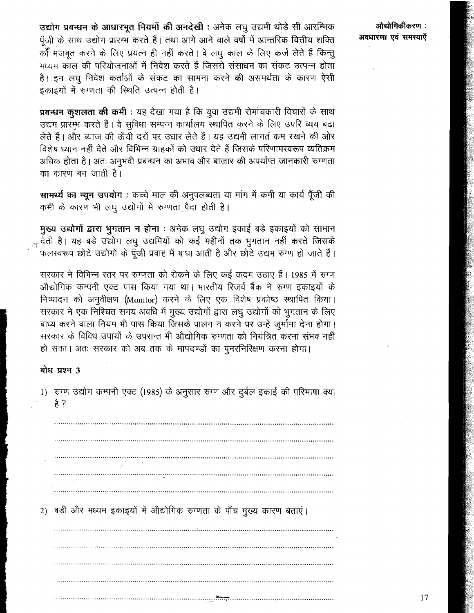उद्योग प्रबन्धन के आधारभूत नियमों की अनदेखी : अनेक लघु उद्यमी थोड़े सी आरम्भिक पूँजी के साथ उद्योग प्रारम्भ करते हैं। तथा आगे आने वाले वर्षों में आन्तरिक वित्तीय शक्ति कोँ मजबूत करने के लिए प्रयत्न ही नहीं करते। वे लघु काल के लिए कर्ज लेते हैं किन्तू मध्यम काल की परियोजनाओं में निवेश करते हैं जिससे संसाधन का संकट उत्पन्न होता है। इन लघ निवेश कर्ताओं के संकट का सामना करने की असमर्थता के कारण ऐसी इकाइयों में रुग्णता की स्थिति उत्पन्न होती है।

प्रबन्धन कुशलता की कमी : यह देखा गया है कि युवा उद्यमी रोमांचकारी विचारों के साथ उद्यम प्रारम्भ करते हैं। वे सुविधा सम्पन्न कार्यालय स्थापित करने के लिए उपरि व्यय बढ़ा लेते हैं। और ब्याज की ऊँची दरों पर उधार लेते हैं। यह उद्यमी लागत कम रखने की ओर विशेष ध्यान नहीं देते और विभिन्न ग्राहकों को उधार देते हैं जिसके परिणामस्वरूप व्यतिक्रम अधिक होता है। अतः अनुभवी प्रबन्धन का अभाव और बाजार की अपर्याप्त जानकारी रुग्णता का कारण बन जाती है।

सामर्थ्य का न्यून उपयोग: कच्चे माल की अनुपलब्धता या मांग में कमी या कार्य पूँजी की कमी के कारण भी लघु उद्योगों में रुग्णता पैदा होती है।

मुख्य उद्योगों द्वारा भुगतान न होना : अनेक लघु उद्योग इकाई बड़े इकाइयों को सामान क्त देती है। यह बड़े उद्योग लघु उद्यमियों को कई महीनों तक भुगतान नहीं करते जिसके फलस्वरूप छोटे उद्योगों के पूँजी प्रवाह में बाधा आती है और छोटे उद्यम रुग्ण हो जाते हैं।

सरकार ने विभिन्न स्तर पर रुग्णता को रोकने के लिए कई कदम उठाए हैं। 1985 में रुग्ण औद्योगिक कम्पनी एक्ट पास किया गया था। भारतीय रिजर्व बैंक ने रुग्ण इकाइयों के निष्पादन को अनुवीक्षण (Monitor) करने के लिए एक विशेष प्रकोष्ठ स्थापित किया। सरकार ने एक निश्चित समय अवधि में मुख्य उद्योगों द्वारा लघु उद्योगों को भुगतान के लिए बाध्य करने वाला नियम भी पास किया जिसके पालन न करने पर उन्हें जुर्माना देना होगा। सरकार के विविध उपायों के उपरान्त भी औद्योगिक रुग्णता को नियंत्रित करना संभव नहीं हो सका। अतः सरकार को अब तक के मापदण्डों का पुनरनिरिक्षण करना होगा।

#### बोध प्रश्न 3

1) रुग्ण उद्योग कम्पनी एक्ट (1985) के अनुसार रुग्ण और दुर्बल इकाई की परिभाषा क्या है ?

2) बड़ी और मध्यम इकाइयों में औद्योगिक रुग्णता के पाँच मुख्य कारण बताएं।

:थौद्योगिकीकरण अवधारणा एवं समस्याएँ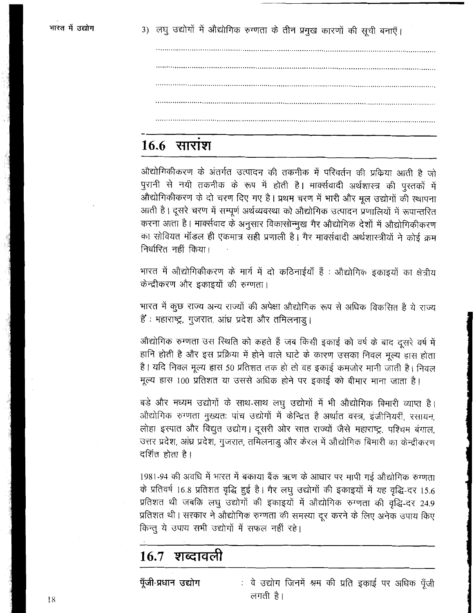3) लघु उद्योगों में औद्योगिक रुग्णता के तीन प्रमुख कारणों की सूची बनाएँ।

# $16.6$  सारांश

औद्योगिकीकरण के अंतर्गत उत्पादन की तकनीक में परिवर्तन की प्रक्रिया आती है जो पुरानी से नयी तकनीक के रूप में होती है। मार्क्सवादी अर्थशास्त्र की पुस्तकों में औद्योगिकीकरण के दो चरण दिए गए है। प्रथम चरण में भारी और मूल उद्योगों की स्थापना आती है। दूसरे चरण में सम्पूर्ण अर्थव्यवस्था को औद्योगिक उत्पादन प्रणालियों में रूपान्तरित करना आता है। मार्क्सवाद के अनुसार विकासोन्मुख गैर औद्योगिक देशों में औद्योगिकीकरण का सोवियत मॉडल ही एकमात्र सही प्रणाली है। गैर मार्क्सवादी अर्थशास्त्रीयों ने कोई क्रम निर्धारित नहीं किया।

भारत में औद्योगिकीकरण के मार्ग में दो कठिनाईयाँ हैं : औद्योगिक इकाइयों का क्षेत्रीय केन्द्रीकरण और इकाइयों की रुग्णता।

भारत में कुछ राज्य अन्य राज्यों की अपेक्षा औद्योगिक रूप से अधिक विकसित है ये राज्य हैं : महाराष्ट्र, गुजरात, आंध्र प्रदेश और तमिलनाड़।

औद्योगिक रुग्णता उस स्थिति को कहते हैं जब किसी इकाई को वर्ष के बाद दूसरे वर्ष में हानि होती है और इस प्रक्रिया में होने वाले घाटे के कारण उसका निवल मूल्य हास होता है। यदि निवल मूल्य हास 50 प्रतिशत तक हो तो वह इकाई कमजोर मानी जाती है। निवल मूल्य हास 100 प्रतिशत या उससे अधिक होने पर इकाई को बीमार माना जाता है।

बड़े और मध्यम उद्योगों के साथ-साथ लघु उद्योगों में भी औद्योगिक बिमारी व्याप्त है। औद्योगिक रुग्णता मुख्यतः पांच उद्योगों में केन्द्रित है अर्थात वस्त्र, इंजीनियरीं, रसायन, लोहा इस्पात और विद्युत उद्योग। दूसरी ओर सात राज्यों जैसे महाराष्ट्र, पश्चिम बंगाल, उत्तर प्रदेश, आंध्र प्रदेश, गुजरात, तमिलनाडु और केरल में औद्योगिक बिमारी का केन्द्रीकरण दर्शित होता है।

1981-94 की अवधि में भारत में बकाया बैंक ऋण के आधार पर मापी गई औद्योगिक रुग्णता के प्रतिवर्ष 16.8 प्रतिशत वृद्धि हुई है। गैर लघु उद्योगों की इकाइयों में यह वृद्धि-दर 15.6 प्रतिशत थी जबकि लघु उद्योगों की इकाइयों में औद्योगिक रुग्णता की वृद्धि-दर 24.9 प्रतिशत थी। सरकार ने औद्योगिक रुग्णता की समस्या दूर करने के लिए अनेक उपाय किए किन्तु ये उपाय सभी उद्योगों में सफल नहीं रहे।

#### 16.7 शब्दावली

पूँजी-प्रधान उद्योग : वे उद्योग जिनमें श्रम की प्रति इकाई पर अधिक पूँजी लगती है।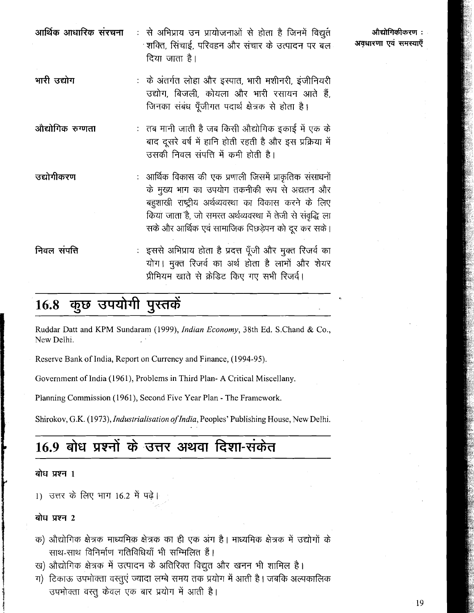| आर्थिक आधारिक संरचना | :  से अभिप्राय उन प्रायोजनाओं से होता है जिनमें विद्युत<br>्शक्ति, सिंचाई, परिवहन और संचार के उत्पादन पर बल<br>दिया जाता है।                                                                                                                                                      |
|----------------------|-----------------------------------------------------------------------------------------------------------------------------------------------------------------------------------------------------------------------------------------------------------------------------------|
| भारी उद्योग          | :) के अंतर्गत लोहा और इस्पात, भारी मशीनरी, इंजीनियरी<br>उद्योग, बिजली, कोयला और भारी रसायन आते हैं,<br>जिनका संबंध पूँजीगत पदार्थ क्षेत्रक से होता है।                                                                                                                            |
| ओद्योगिक रुग्णता     | :   तब मानी जाती है जब किसी औद्योगिक इकाई में एक के<br>बाद दूसरे वर्ष में हानि होती रहती है और इस प्रक्रिया में<br>उसकी निवल संपत्ति में कमी होती है।                                                                                                                             |
| उद्योगीकरण           | : आर्थिक विकास की एक प्रणाली जिसमें प्राकृतिक संसाधनों<br>के मुख्य भाग का उपयोग तकनीकी रूप से अद्यतन और<br>बहुशाखी राष्ट्रीय अर्थव्यवस्था का विकास करने के लिए<br>किया जाता है, जो समरत अर्थव्यवस्था में तेजी से संवृद्धि ला<br>सके और आर्थिक एवं सामाजिक पिछड़ेपन को दूर कर सके। |
| निवल संपत्ति         | : इससे अभिप्राय होता है प्रदत्त पूँजी और मुक्त रिजर्व का<br>योग। मुक्त रिजर्व का अर्थ होता है लाभों और शेयर<br>प्रीमियम खाते से क्रेडिट किए गए सभी रिजर्व।                                                                                                                        |

#### कुछ उपयोगी पुस्तकें 16.8

Ruddar Datt and KPM Sundaram (1999), Indian Economy, 38th Ed. S.Chand & Co., Ncw Delhi.

Reserve Bank of India, Report on Currency and Finance, (1994-95).

Government of India (1961), Problems in Third Plan- **A** Critical Miscellany.

Planning Commission (1961), Second Five Year Plan - The Framework.

Shirokov, G.K. (1973), *Industrialisation of India*, Peoples' Publishing House, New Delhi.

# 16.9 बोध प्रश्नों के उत्तर अथवा दिशा-संकेत

#### बोध प्रश्न 1

1) उत्तर के लिए भाग 16.2 में पढ़े।

#### बोध प्रश्न 2

- क) औद्योगिक क्षेत्रक माध्यमिक क्षेत्रक का ही एक अंग है। माध्यमिक क्षेत्रक में उद्योगों के साथ-साथ विनिर्माण गतिविधियाँ भी सम्मिलित हैं।
- ख) औद्योगिक क्षेत्रक में उत्पादन के अतिरिक्त विद्युत और खनन भी शामिल है।
- ग) टिकाऊ उपभोक्ता वस्तूएं ज्यादा लम्बे समय तक प्रयोग में आती है। जबकि अल्पकालिक उपभोक्ता वस्तू केवल एक बार प्रयोग में आती है।

औद्योगिकीकरण : अवधारणा एवं समस्याएँ